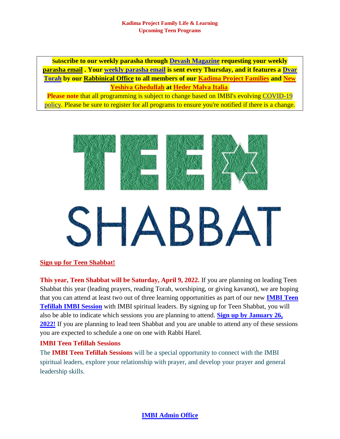**Subscribe to our weekly parasha through [Devash Magazine](mailto:hedermalvaitalia@gmail.com) requesting your weekly [parasha](mailto:hedermalvaitalia@gmail.com) email . Your [weekly parasha email](mailto:hedermalvaitalia@gmail.com) is sent every Thursday, and it features a [Dvar](mailto:italianmessianicbibleinstitute@gmail.com)  [Torah](mailto:italianmessianicbibleinstitute@gmail.com) by our [Rabbinical Office](mailto:vohjm2013@gmail.com) to all members of our [Kadima Project Families](https://machasehsheltikvah.org/post.php?post_id=97) and [New](https://machasehsheltikvah.org/events.php)  [Yeshiva Ghedullah](https://machasehsheltikvah.org/events.php) at [Heder Malva Italia](mailto:hedermalvaitalia@gmail.com)**.

**Please note** that all programming is subject to change based on IMBI's evolving [COVID-19](https://health.mesacounty.us/saferathome/)  [policy.](https://health.mesacounty.us/saferathome/) Please be sure to register for all programs to ensure you're notified if there is a change.



## **[Sign up for Teen Shabbat!](mailto:italianmessianicbibleinstitute@gmail.com)**

**This year, Teen Shabbat will be Saturday, April 9, 2022.** If you are planning on leading Teen Shabbat this year (leading prayers, reading Torah, worshiping, or giving kavanot), we are hoping that you can attend at least two out of three learning opportunities as part of our new **[IMBI](mailto:italianmessianicbibleinstitute@gmail.com) Teen [Tefillah IMBI Session](mailto:italianmessianicbibleinstitute@gmail.com)** with IMBI spiritual leaders. By signing up for Teen Shabbat, you will also be able to indicate which sessions you are planning to attend. **[Sign up by January 26,](mailto:italianmessianicbibleinstitute@gmail.com)  [2022!](mailto:italianmessianicbibleinstitute@gmail.com)** If you are planning to lead teen Shabbat and you are unable to attend any of these sessions you are expected to schedule a one on one with Rabbi Harel.

## **IMBI Teen Tefillah Sessions**

The **IMBI Teen Tefillah Sessions** will be a special opportunity to connect with the IMBI spiritual leaders, explore your relationship with prayer, and develop your prayer and general leadership skills.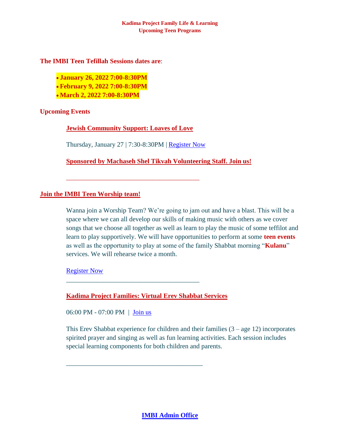#### **Kadima Project Family Life & Learning Upcoming Teen Programs**

### **The IMBI Teen Tefillah Sessions dates are**:

- **January 26, 2022 7:00-8:30PM**
- **February 9, 2022 7:00-8:30PM**
- **March 2, 2022 7:00-8:30PM**

# **Upcoming Events**

**[Jewish Community Support:](https://villageofhopejusticeministry.files.wordpress.com/2022/01/loaves-of-love-virtual-challah-bake-27-jan-2022-challa-d-amore-e-cottura-al-forno-della-challah-27-gennaio-2022.pdf) Loaves of Love**

Thursday, January 27 | 7:30-8:30PM | [Register Now](mailto:contact@machasheltikvah.org)

\_\_\_\_\_\_\_\_\_\_\_\_\_\_\_\_\_\_\_\_\_\_\_\_\_\_\_\_\_\_\_\_\_\_\_\_\_\_\_\_

**[Sponsored by Machaseh Shel Tikvah Volunteering Staff. Join us!](https://villageofhopejusticeministry.files.wordpress.com/2022/01/machaseh-shel-tikvah-giving-circle-circolo-delle-donazioni.pdf)**

## **[Join the IMBI Teen Worship team!](mailto:italianmessianicbibleinstitute@gmail.com)**

Wanna join a Worship Team? We're going to jam out and have a blast. This will be a space where we can all develop our skills of making music with others as we cover songs that we choose all together as well as learn to play the music of some teffilot and learn to play supportively. We will have opportunities to perform at some **teen events** as well as the opportunity to play at some of the family Shabbat morning "**Kulanu**" services. We will rehearse twice a month.

[Register Now](mailto:italianmessianicbibleinstitute@gmail.com)

**Kadima Project [Families: Virtual Erev Shabbat Services](mailto:contact@machasheltikvah.org)**

\_\_\_\_\_\_\_\_\_\_\_\_\_\_\_\_\_\_\_\_\_\_\_\_\_\_\_\_\_\_\_\_\_\_\_\_\_\_\_\_

\_\_\_\_\_\_\_\_\_\_\_\_\_\_\_\_\_\_\_\_\_\_\_\_\_\_\_\_\_\_\_\_\_\_\_\_\_\_\_\_\_

06:00 PM - 07:00 PM | [Join us](mailto:contact@machasheltikvah.org)

This Erev Shabbat experience for children and their families  $(3 - \text{age } 12)$  incorporates spirited prayer and singing as well as fun learning activities. Each session includes special learning components for both children and parents.